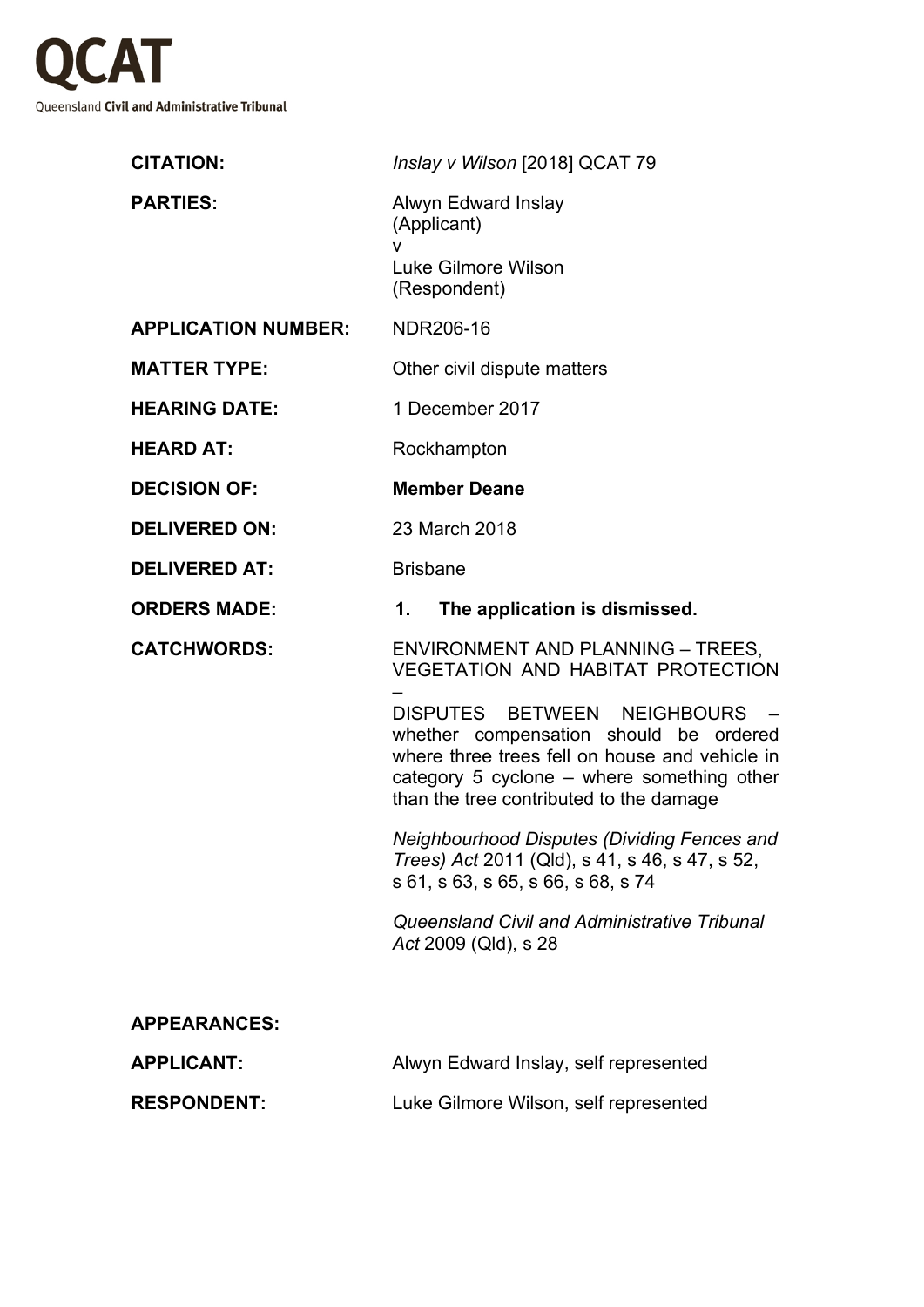

| <b>CITATION:</b>           | Inslay v Wilson [2018] QCAT 79                                                                                                                                                                                                               |
|----------------------------|----------------------------------------------------------------------------------------------------------------------------------------------------------------------------------------------------------------------------------------------|
| <b>PARTIES:</b>            | Alwyn Edward Inslay<br>(Applicant)<br>v                                                                                                                                                                                                      |
|                            | Luke Gilmore Wilson<br>(Respondent)                                                                                                                                                                                                          |
| <b>APPLICATION NUMBER:</b> | NDR206-16                                                                                                                                                                                                                                    |
| <b>MATTER TYPE:</b>        | Other civil dispute matters                                                                                                                                                                                                                  |
| <b>HEARING DATE:</b>       | 1 December 2017                                                                                                                                                                                                                              |
| <b>HEARD AT:</b>           | Rockhampton                                                                                                                                                                                                                                  |
| <b>DECISION OF:</b>        | <b>Member Deane</b>                                                                                                                                                                                                                          |
| <b>DELIVERED ON:</b>       | 23 March 2018                                                                                                                                                                                                                                |
| <b>DELIVERED AT:</b>       | <b>Brisbane</b>                                                                                                                                                                                                                              |
| <b>ORDERS MADE:</b>        | The application is dismissed.<br>1.                                                                                                                                                                                                          |
| <b>CATCHWORDS:</b>         | <b>ENVIRONMENT AND PLANNING - TREES,</b><br>VEGETATION AND HABITAT PROTECTION                                                                                                                                                                |
|                            |                                                                                                                                                                                                                                              |
|                            | DISPUTES BETWEEN NEIGHBOURS<br>$\overline{\phantom{a}}$<br>whether compensation should be ordered<br>where three trees fell on house and vehicle in<br>category 5 cyclone - where something other<br>than the tree contributed to the damage |
|                            | Neighbourhood Disputes (Dividing Fences and<br>Trees) Act 2011 (Qld), s 41, s 46, s 47, s 52,<br>s 61, s 63, s 65, s 66, s 68, s 74                                                                                                          |
|                            | Queensland Civil and Administrative Tribunal<br>Act 2009 (Qld), s 28                                                                                                                                                                         |
| <b>APPEARANCES:</b>        |                                                                                                                                                                                                                                              |
| <b>APPLICANT:</b>          | Alwyn Edward Inslay, self represented                                                                                                                                                                                                        |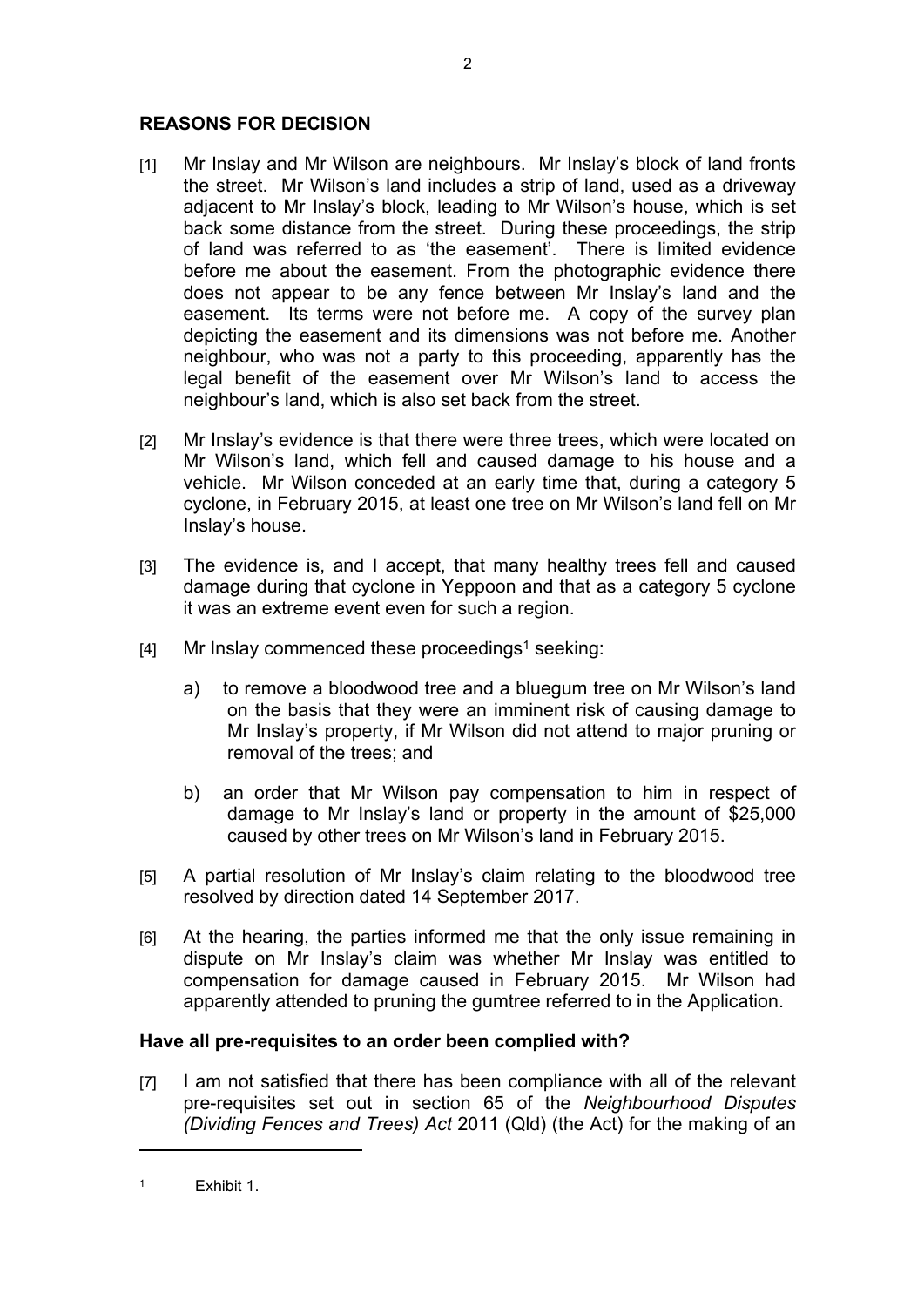## **REASONS FOR DECISION**

- [1] Mr Inslay and Mr Wilson are neighbours. Mr Inslay's block of land fronts the street. Mr Wilson's land includes a strip of land, used as a driveway adjacent to Mr Inslay's block, leading to Mr Wilson's house, which is set back some distance from the street. During these proceedings, the strip of land was referred to as 'the easement'. There is limited evidence before me about the easement. From the photographic evidence there does not appear to be any fence between Mr Inslay's land and the easement. Its terms were not before me. A copy of the survey plan depicting the easement and its dimensions was not before me. Another neighbour, who was not a party to this proceeding, apparently has the legal benefit of the easement over Mr Wilson's land to access the neighbour's land, which is also set back from the street.
- [2] Mr Inslay's evidence is that there were three trees, which were located on Mr Wilson's land, which fell and caused damage to his house and a vehicle. Mr Wilson conceded at an early time that, during a category 5 cyclone, in February 2015, at least one tree on Mr Wilson's land fell on Mr Inslay's house.
- [3] The evidence is, and I accept, that many healthy trees fell and caused damage during that cyclone in Yeppoon and that as a category 5 cyclone it was an extreme event even for such a region.
- [4] Mr Inslay commenced these proceedings<sup>1</sup> seeking:
	- a) to remove a bloodwood tree and a bluegum tree on Mr Wilson's land on the basis that they were an imminent risk of causing damage to Mr Inslay's property, if Mr Wilson did not attend to major pruning or removal of the trees; and
	- b) an order that Mr Wilson pay compensation to him in respect of damage to Mr Inslay's land or property in the amount of \$25,000 caused by other trees on Mr Wilson's land in February 2015.
- [5] A partial resolution of Mr Inslay's claim relating to the bloodwood tree resolved by direction dated 14 September 2017.
- [6] At the hearing, the parties informed me that the only issue remaining in dispute on Mr Inslay's claim was whether Mr Inslay was entitled to compensation for damage caused in February 2015. Mr Wilson had apparently attended to pruning the gumtree referred to in the Application.

## **Have all pre-requisites to an order been complied with?**

[7] I am not satisfied that there has been compliance with all of the relevant pre-requisites set out in section 65 of the *Neighbourhood Disputes (Dividing Fences and Trees) Act* 2011 (Qld) (the Act) for the making of an

1 Exhibit 1.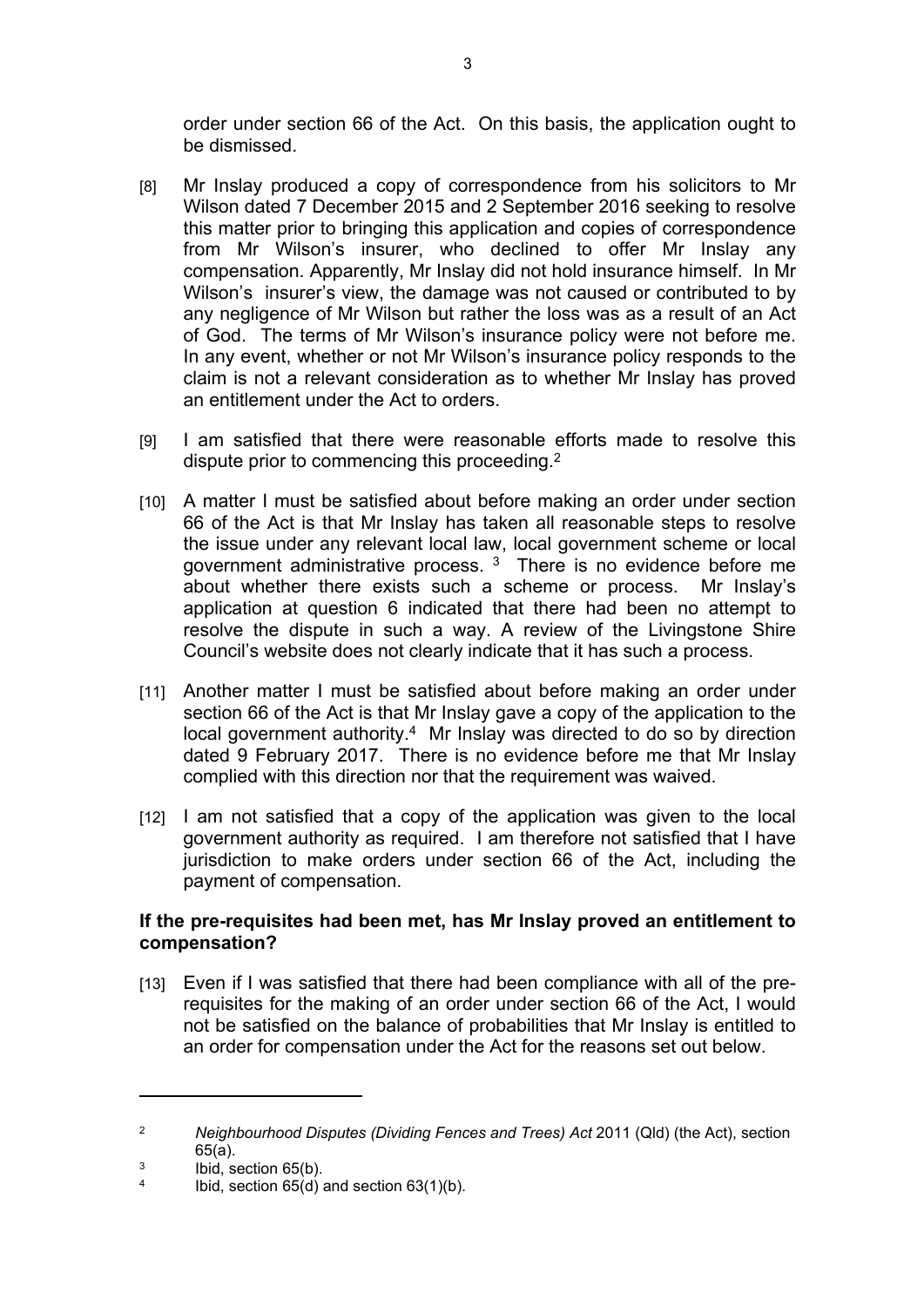order under section 66 of the Act. On this basis, the application ought to be dismissed.

- [8] Mr Inslay produced a copy of correspondence from his solicitors to Mr Wilson dated 7 December 2015 and 2 September 2016 seeking to resolve this matter prior to bringing this application and copies of correspondence from Mr Wilson's insurer, who declined to offer Mr Inslay any compensation. Apparently, Mr Inslay did not hold insurance himself. In Mr Wilson's insurer's view, the damage was not caused or contributed to by any negligence of Mr Wilson but rather the loss was as a result of an Act of God. The terms of Mr Wilson's insurance policy were not before me. In any event, whether or not Mr Wilson's insurance policy responds to the claim is not a relevant consideration as to whether Mr Inslay has proved an entitlement under the Act to orders.
- [9] I am satisfied that there were reasonable efforts made to resolve this dispute prior to commencing this proceeding.<sup>2</sup>
- [10] A matter I must be satisfied about before making an order under section 66 of the Act is that Mr Inslay has taken all reasonable steps to resolve the issue under any relevant local law, local government scheme or local government administrative process.  $3$  There is no evidence before me about whether there exists such a scheme or process. Mr Inslay's application at question 6 indicated that there had been no attempt to resolve the dispute in such a way. A review of the Livingstone Shire Council's website does not clearly indicate that it has such a process.
- [11] Another matter I must be satisfied about before making an order under section 66 of the Act is that Mr Inslay gave a copy of the application to the local government authority.<sup>4</sup> Mr Inslay was directed to do so by direction dated 9 February 2017. There is no evidence before me that Mr Inslay complied with this direction nor that the requirement was waived.
- [12] I am not satisfied that a copy of the application was given to the local government authority as required. I am therefore not satisfied that I have jurisdiction to make orders under section 66 of the Act, including the payment of compensation.

## **If the pre-requisites had been met, has Mr Inslay proved an entitlement to compensation?**

[13] Even if I was satisfied that there had been compliance with all of the prerequisites for the making of an order under section 66 of the Act, I would not be satisfied on the balance of probabilities that Mr Inslay is entitled to an order for compensation under the Act for the reasons set out below.

<sup>2</sup> *Neighbourhood Disputes (Dividing Fences and Trees) Act* 2011 (Qld) (the Act), section 65(a).

<sup>3</sup> Ibid, section 65(b).

<sup>4</sup> Ibid, section 65(d) and section 63(1)(b).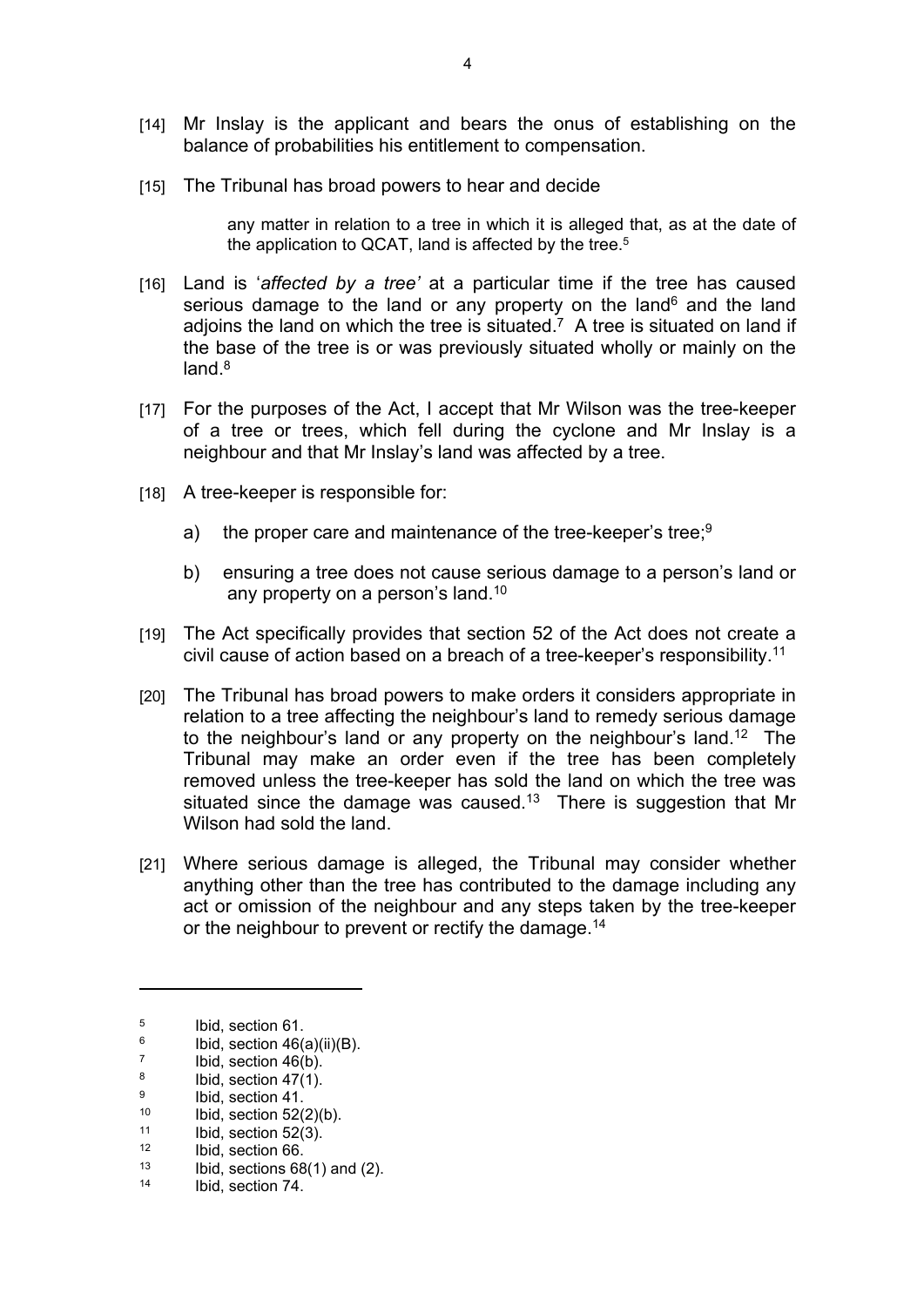- [14] Mr Inslay is the applicant and bears the onus of establishing on the balance of probabilities his entitlement to compensation.
- [15] The Tribunal has broad powers to hear and decide

any matter in relation to a tree in which it is alleged that, as at the date of the application to QCAT, land is affected by the tree.<sup>5</sup>

- [16] Land is '*affected by a tree'* at a particular time if the tree has caused serious damage to the land or any property on the land $6$  and the land adjoins the land on which the tree is situated.<sup>7</sup> A tree is situated on land if the base of the tree is or was previously situated wholly or mainly on the land.<sup>8</sup>
- [17] For the purposes of the Act, I accept that Mr Wilson was the tree-keeper of a tree or trees, which fell during the cyclone and Mr Inslay is a neighbour and that Mr Inslay's land was affected by a tree.
- [18] A tree-keeper is responsible for:
	- a) the proper care and maintenance of the tree-keeper's tree;<sup>9</sup>
	- b) ensuring a tree does not cause serious damage to a person's land or any property on a person's land.<sup>10</sup>
- [19] The Act specifically provides that section 52 of the Act does not create a civil cause of action based on a breach of a tree-keeper's responsibility.<sup>11</sup>
- [20] The Tribunal has broad powers to make orders it considers appropriate in relation to a tree affecting the neighbour's land to remedy serious damage to the neighbour's land or any property on the neighbour's land.<sup>12</sup> The Tribunal may make an order even if the tree has been completely removed unless the tree-keeper has sold the land on which the tree was situated since the damage was caused.<sup>13</sup> There is suggestion that Mr Wilson had sold the land.
- [21] Where serious damage is alleged, the Tribunal may consider whether anything other than the tree has contributed to the damage including any act or omission of the neighbour and any steps taken by the tree-keeper or the neighbour to prevent or rectify the damage.<sup>14</sup>

<sup>5</sup> Ibid, section 61.

<sup>6</sup> Ibid, section 46(a)(ii)(B).

<sup>7</sup> Ibid, section 46(b).

<sup>8</sup> Ibid, section 47(1).

<sup>9</sup>  $\frac{9}{10}$  Ibid, section 41.

<sup>&</sup>lt;sup>10</sup> Ibid, section  $52(2)(b)$ .<br><sup>11</sup> Ibid, section  $52(3)$ .

 $11$  Ibid, section 52(3).

 $12$  Ibid, section 66.

 $13$  Ibid, sections 68(1) and (2).

Ibid, section 74.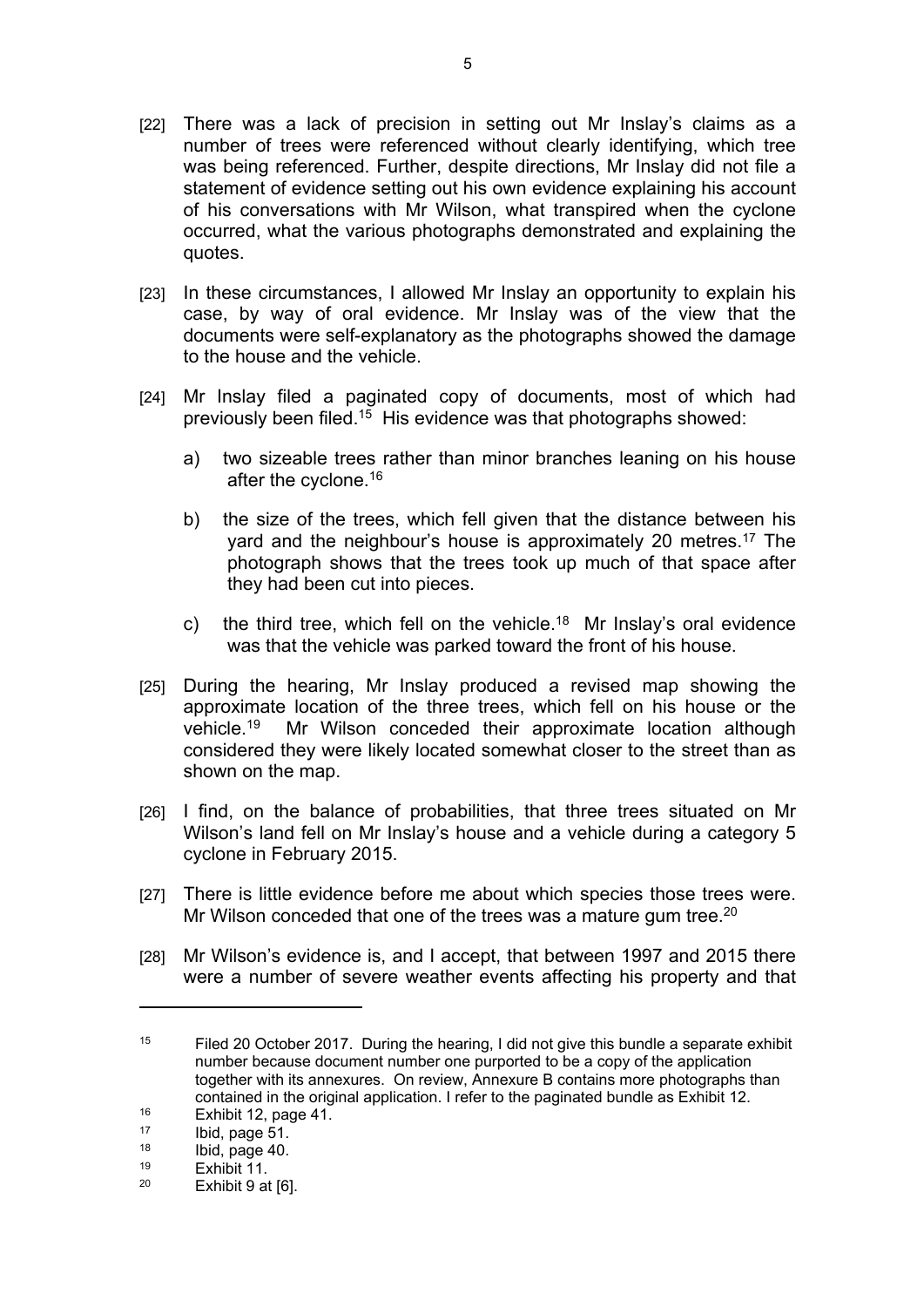- [22] There was a lack of precision in setting out Mr Inslay's claims as a number of trees were referenced without clearly identifying, which tree was being referenced. Further, despite directions, Mr Inslay did not file a statement of evidence setting out his own evidence explaining his account of his conversations with Mr Wilson, what transpired when the cyclone occurred, what the various photographs demonstrated and explaining the quotes.
- [23] In these circumstances, I allowed Mr Inslay an opportunity to explain his case, by way of oral evidence. Mr Inslay was of the view that the documents were self-explanatory as the photographs showed the damage to the house and the vehicle.
- [24] Mr Inslay filed a paginated copy of documents, most of which had previously been filed.<sup>15</sup> His evidence was that photographs showed:
	- a) two sizeable trees rather than minor branches leaning on his house after the cyclone.<sup>16</sup>
	- b) the size of the trees, which fell given that the distance between his yard and the neighbour's house is approximately 20 metres.<sup>17</sup> The photograph shows that the trees took up much of that space after they had been cut into pieces.
	- c) the third tree, which fell on the vehicle.<sup>18</sup> Mr Inslay's oral evidence was that the vehicle was parked toward the front of his house.
- [25] During the hearing, Mr Inslay produced a revised map showing the approximate location of the three trees, which fell on his house or the vehicle.<sup>19</sup> Mr Wilson conceded their approximate location although considered they were likely located somewhat closer to the street than as shown on the map.
- [26] I find, on the balance of probabilities, that three trees situated on Mr Wilson's land fell on Mr Inslay's house and a vehicle during a category 5 cyclone in February 2015.
- [27] There is little evidence before me about which species those trees were. Mr Wilson conceded that one of the trees was a mature gum tree.<sup>20</sup>
- [28] Mr Wilson's evidence is, and I accept, that between 1997 and 2015 there were a number of severe weather events affecting his property and that

<sup>&</sup>lt;sup>15</sup> Filed 20 October 2017. During the hearing, I did not give this bundle a separate exhibit number because document number one purported to be a copy of the application together with its annexures. On review, Annexure B contains more photographs than contained in the original application. I refer to the paginated bundle as Exhibit 12.

 $16$  Exhibit 12, page 41.

 $17$  Ibid, page 51.

 $18$  Ibid, page 40.<br> $19$  Exhibit 11

 $19$  Exhibit 11.<br> $20$  Exhibit 0.01 Exhibit 9 at [6].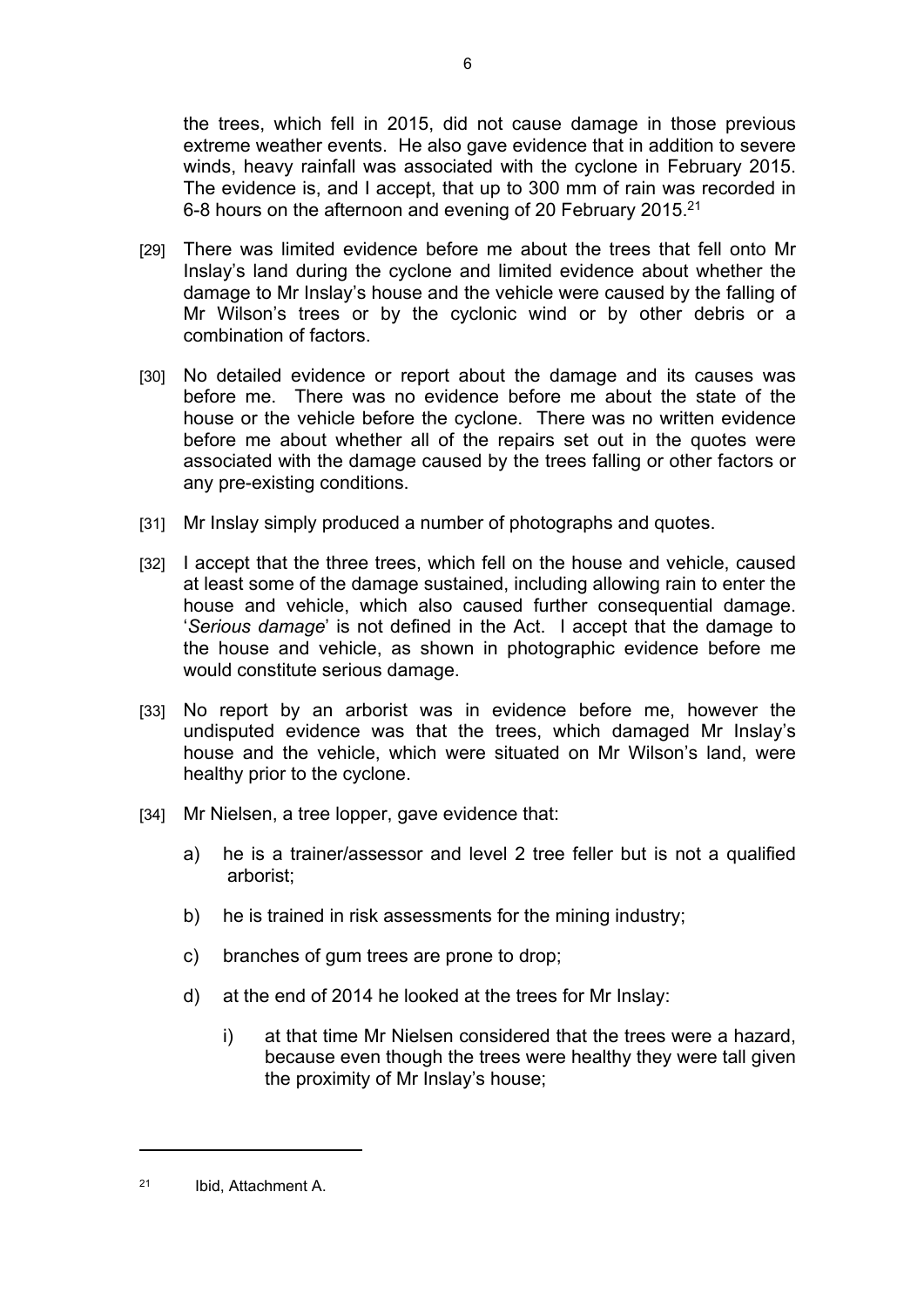the trees, which fell in 2015, did not cause damage in those previous extreme weather events. He also gave evidence that in addition to severe winds, heavy rainfall was associated with the cyclone in February 2015. The evidence is, and I accept, that up to 300 mm of rain was recorded in 6-8 hours on the afternoon and evening of 20 February 2015.<sup>21</sup>

- [29] There was limited evidence before me about the trees that fell onto Mr Inslay's land during the cyclone and limited evidence about whether the damage to Mr Inslay's house and the vehicle were caused by the falling of Mr Wilson's trees or by the cyclonic wind or by other debris or a combination of factors.
- [30] No detailed evidence or report about the damage and its causes was before me. There was no evidence before me about the state of the house or the vehicle before the cyclone. There was no written evidence before me about whether all of the repairs set out in the quotes were associated with the damage caused by the trees falling or other factors or any pre-existing conditions.
- [31] Mr Inslay simply produced a number of photographs and quotes.
- [32] I accept that the three trees, which fell on the house and vehicle, caused at least some of the damage sustained, including allowing rain to enter the house and vehicle, which also caused further consequential damage. '*Serious damage*' is not defined in the Act. I accept that the damage to the house and vehicle, as shown in photographic evidence before me would constitute serious damage.
- [33] No report by an arborist was in evidence before me, however the undisputed evidence was that the trees, which damaged Mr Inslay's house and the vehicle, which were situated on Mr Wilson's land, were healthy prior to the cyclone.
- [34] Mr Nielsen, a tree lopper, gave evidence that:
	- a) he is a trainer/assessor and level 2 tree feller but is not a qualified arborist;
	- b) he is trained in risk assessments for the mining industry;
	- c) branches of gum trees are prone to drop;
	- d) at the end of 2014 he looked at the trees for Mr Inslay:
		- i) at that time Mr Nielsen considered that the trees were a hazard, because even though the trees were healthy they were tall given the proximity of Mr Inslay's house;

<sup>21</sup> Ibid, Attachment A.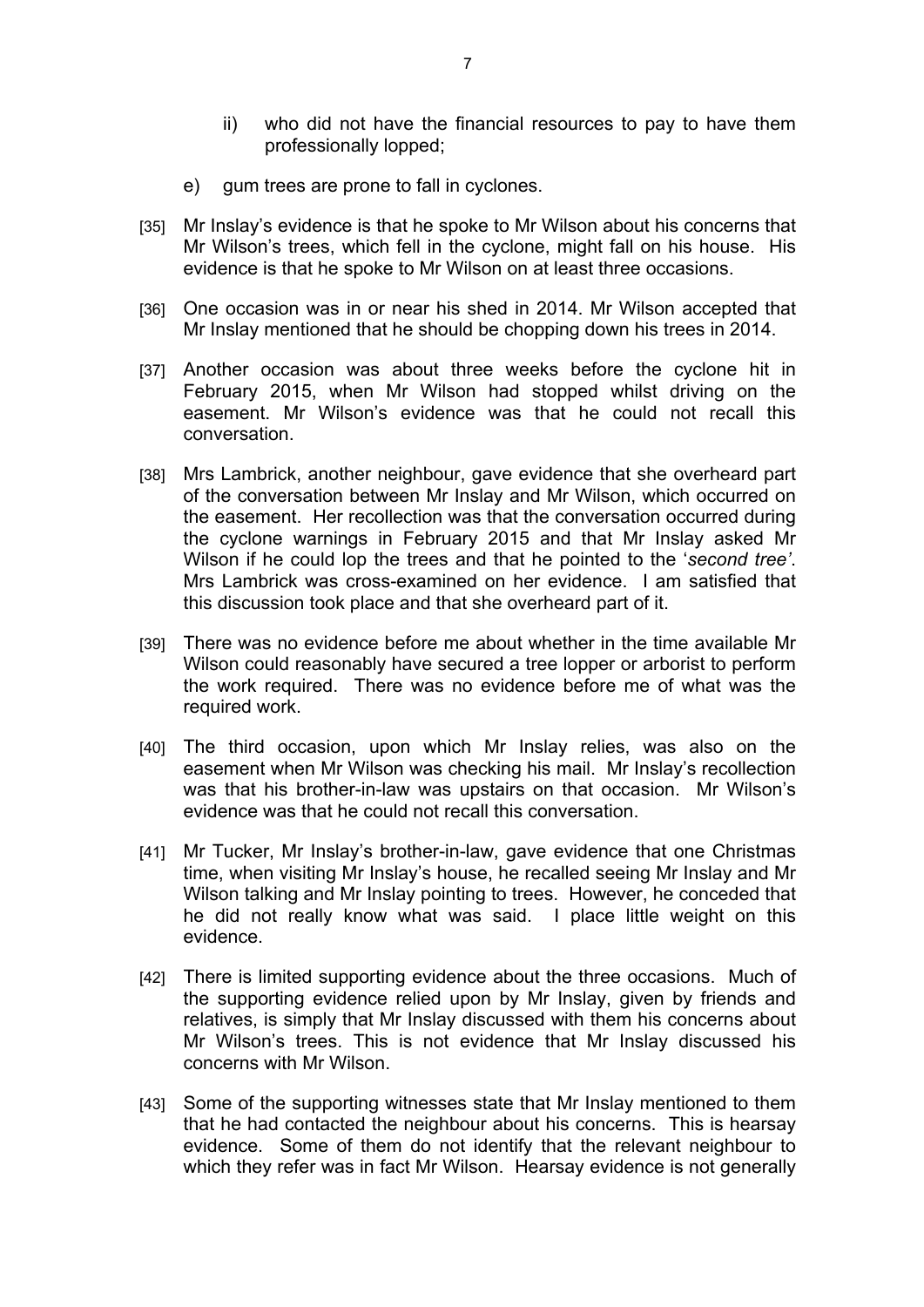- ii) who did not have the financial resources to pay to have them professionally lopped;
- e) gum trees are prone to fall in cyclones.
- [35] Mr Inslay's evidence is that he spoke to Mr Wilson about his concerns that Mr Wilson's trees, which fell in the cyclone, might fall on his house. His evidence is that he spoke to Mr Wilson on at least three occasions.
- [36] One occasion was in or near his shed in 2014. Mr Wilson accepted that Mr Inslay mentioned that he should be chopping down his trees in 2014.
- [37] Another occasion was about three weeks before the cyclone hit in February 2015, when Mr Wilson had stopped whilst driving on the easement. Mr Wilson's evidence was that he could not recall this conversation.
- [38] Mrs Lambrick, another neighbour, gave evidence that she overheard part of the conversation between Mr Inslay and Mr Wilson, which occurred on the easement. Her recollection was that the conversation occurred during the cyclone warnings in February 2015 and that Mr Inslay asked Mr Wilson if he could lop the trees and that he pointed to the '*second tree'*. Mrs Lambrick was cross-examined on her evidence. I am satisfied that this discussion took place and that she overheard part of it.
- [39] There was no evidence before me about whether in the time available Mr Wilson could reasonably have secured a tree lopper or arborist to perform the work required. There was no evidence before me of what was the required work.
- [40] The third occasion, upon which Mr Inslay relies, was also on the easement when Mr Wilson was checking his mail. Mr Inslay's recollection was that his brother-in-law was upstairs on that occasion. Mr Wilson's evidence was that he could not recall this conversation.
- [41] Mr Tucker, Mr Inslay's brother-in-law, gave evidence that one Christmas time, when visiting Mr Inslay's house, he recalled seeing Mr Inslay and Mr Wilson talking and Mr Inslay pointing to trees. However, he conceded that he did not really know what was said. I place little weight on this evidence.
- [42] There is limited supporting evidence about the three occasions. Much of the supporting evidence relied upon by Mr Inslay, given by friends and relatives, is simply that Mr Inslay discussed with them his concerns about Mr Wilson's trees. This is not evidence that Mr Inslay discussed his concerns with Mr Wilson.
- [43] Some of the supporting witnesses state that Mr Inslay mentioned to them that he had contacted the neighbour about his concerns. This is hearsay evidence. Some of them do not identify that the relevant neighbour to which they refer was in fact Mr Wilson. Hearsay evidence is not generally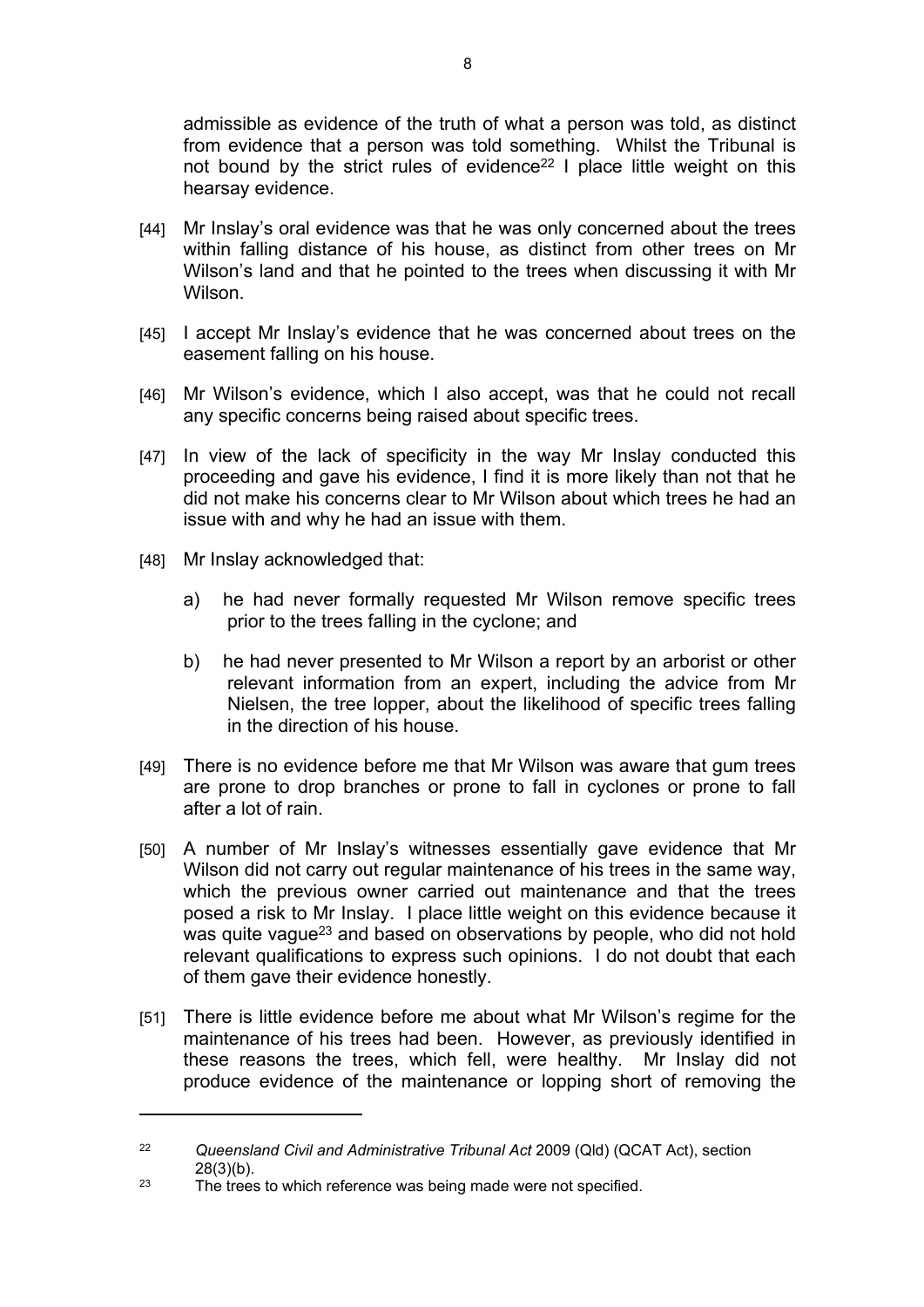admissible as evidence of the truth of what a person was told, as distinct from evidence that a person was told something. Whilst the Tribunal is not bound by the strict rules of evidence<sup>22</sup> I place little weight on this hearsay evidence.

- [44] Mr Inslay's oral evidence was that he was only concerned about the trees within falling distance of his house, as distinct from other trees on Mr Wilson's land and that he pointed to the trees when discussing it with Mr Wilson.
- [45] I accept Mr Inslay's evidence that he was concerned about trees on the easement falling on his house.
- [46] Mr Wilson's evidence, which I also accept, was that he could not recall any specific concerns being raised about specific trees.
- [47] In view of the lack of specificity in the way Mr Inslay conducted this proceeding and gave his evidence, I find it is more likely than not that he did not make his concerns clear to Mr Wilson about which trees he had an issue with and why he had an issue with them.
- [48] Mr Inslay acknowledged that:
	- a) he had never formally requested Mr Wilson remove specific trees prior to the trees falling in the cyclone; and
	- b) he had never presented to Mr Wilson a report by an arborist or other relevant information from an expert, including the advice from Mr Nielsen, the tree lopper, about the likelihood of specific trees falling in the direction of his house.
- [49] There is no evidence before me that Mr Wilson was aware that gum trees are prone to drop branches or prone to fall in cyclones or prone to fall after a lot of rain.
- [50] A number of Mr Inslay's witnesses essentially gave evidence that Mr Wilson did not carry out regular maintenance of his trees in the same way, which the previous owner carried out maintenance and that the trees posed a risk to Mr Inslay. I place little weight on this evidence because it was quite vague<sup>23</sup> and based on observations by people, who did not hold relevant qualifications to express such opinions. I do not doubt that each of them gave their evidence honestly.
- [51] There is little evidence before me about what Mr Wilson's regime for the maintenance of his trees had been. However, as previously identified in these reasons the trees, which fell, were healthy. Mr Inslay did not produce evidence of the maintenance or lopping short of removing the

<sup>22</sup> *Queensland Civil and Administrative Tribunal Act* 2009 (Qld) (QCAT Act), section 28(3)(b).

<sup>&</sup>lt;sup>23</sup> The trees to which reference was being made were not specified.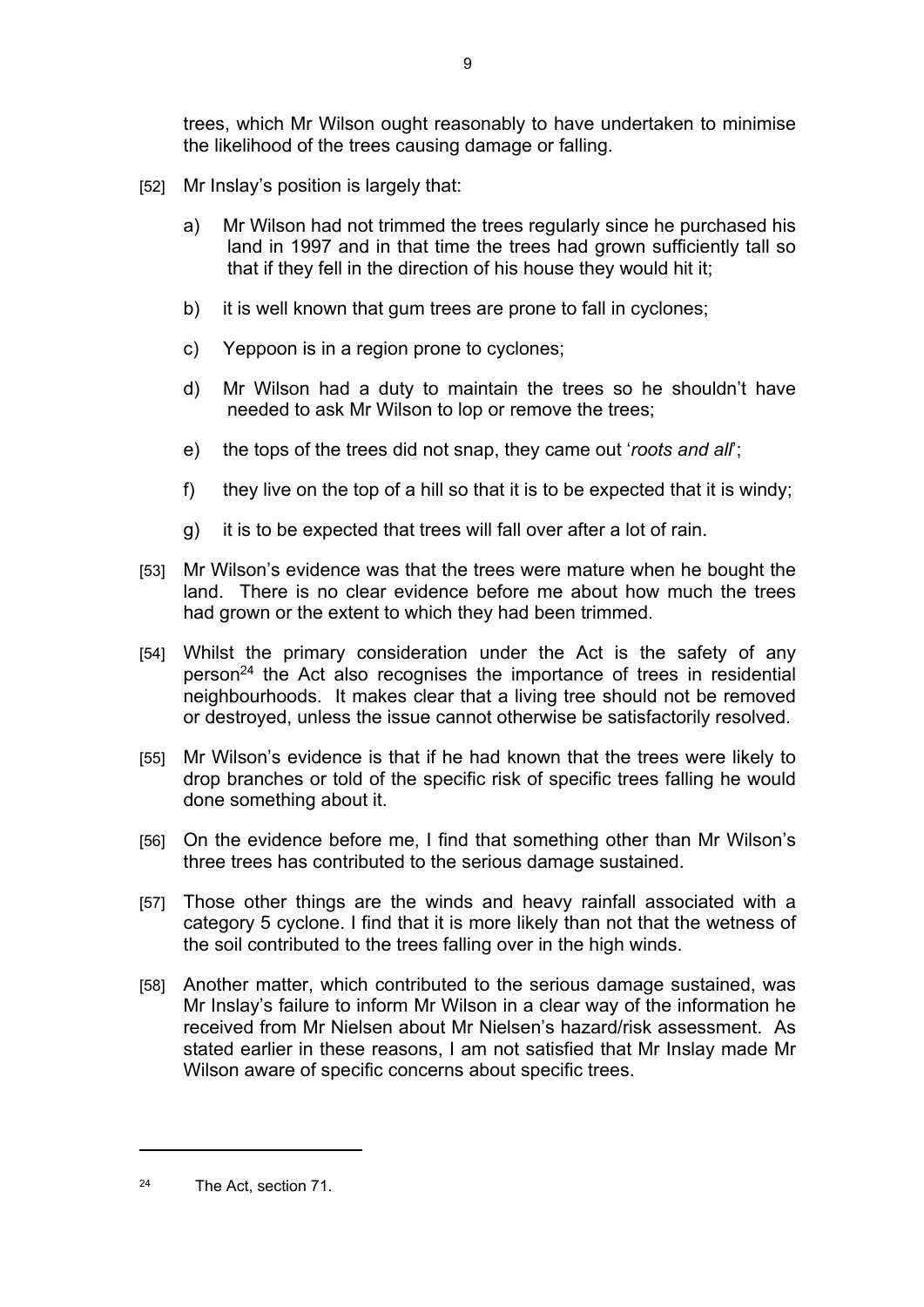trees, which Mr Wilson ought reasonably to have undertaken to minimise the likelihood of the trees causing damage or falling.

- [52] Mr Inslay's position is largely that:
	- a) Mr Wilson had not trimmed the trees regularly since he purchased his land in 1997 and in that time the trees had grown sufficiently tall so that if they fell in the direction of his house they would hit it;
	- b) it is well known that gum trees are prone to fall in cyclones;
	- c) Yeppoon is in a region prone to cyclones;
	- d) Mr Wilson had a duty to maintain the trees so he shouldn't have needed to ask Mr Wilson to lop or remove the trees;
	- e) the tops of the trees did not snap, they came out '*roots and all*';
	- f) they live on the top of a hill so that it is to be expected that it is windy;
	- g) it is to be expected that trees will fall over after a lot of rain.
- [53] Mr Wilson's evidence was that the trees were mature when he bought the land. There is no clear evidence before me about how much the trees had grown or the extent to which they had been trimmed.
- [54] Whilst the primary consideration under the Act is the safety of any person<sup>24</sup> the Act also recognises the importance of trees in residential neighbourhoods. It makes clear that a living tree should not be removed or destroyed, unless the issue cannot otherwise be satisfactorily resolved.
- [55] Mr Wilson's evidence is that if he had known that the trees were likely to drop branches or told of the specific risk of specific trees falling he would done something about it.
- [56] On the evidence before me, I find that something other than Mr Wilson's three trees has contributed to the serious damage sustained.
- [57] Those other things are the winds and heavy rainfall associated with a category 5 cyclone. I find that it is more likely than not that the wetness of the soil contributed to the trees falling over in the high winds.
- [58] Another matter, which contributed to the serious damage sustained, was Mr Inslay's failure to inform Mr Wilson in a clear way of the information he received from Mr Nielsen about Mr Nielsen's hazard/risk assessment. As stated earlier in these reasons, I am not satisfied that Mr Inslay made Mr Wilson aware of specific concerns about specific trees.

<sup>24</sup> The Act, section 71.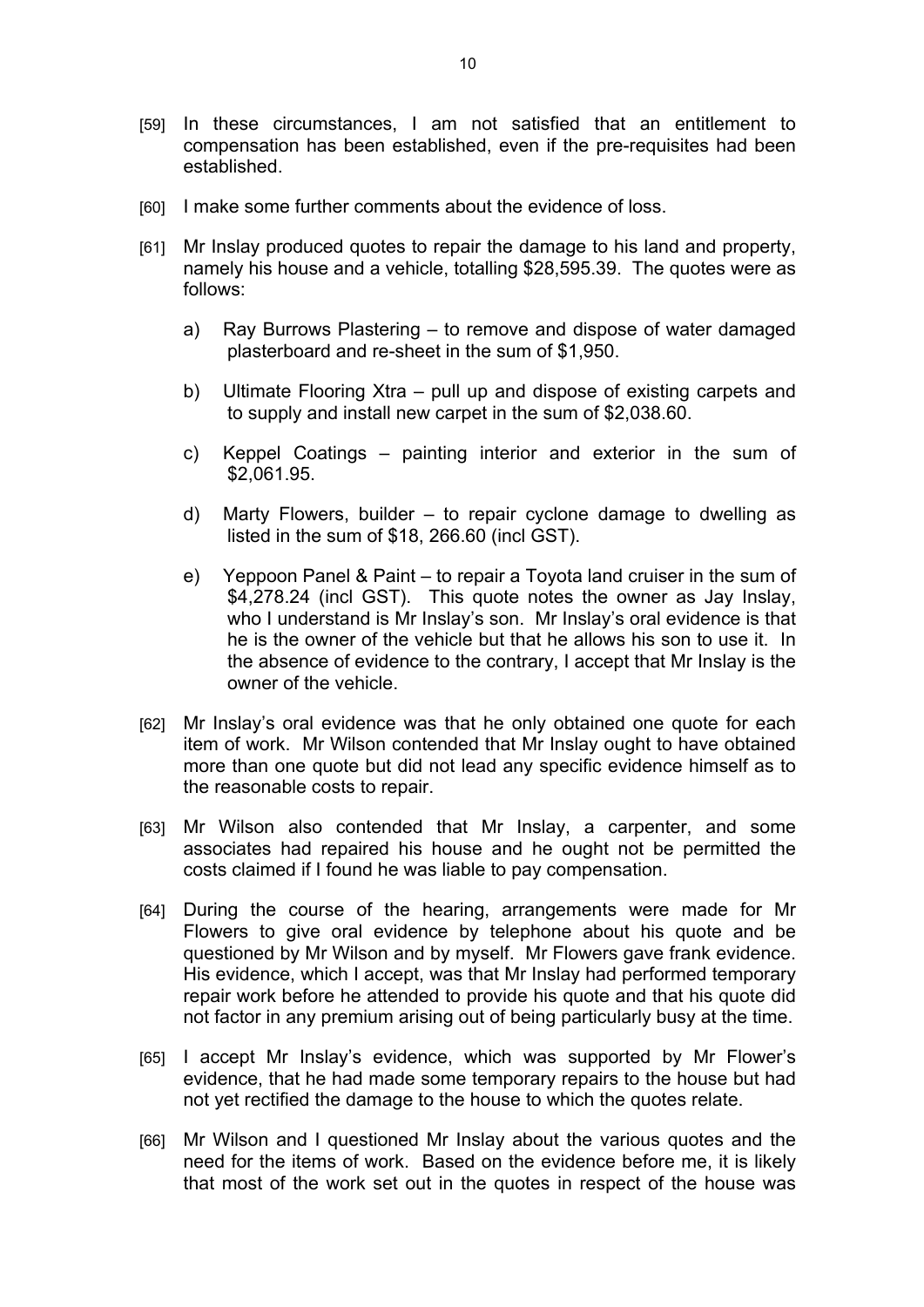- [59] In these circumstances, I am not satisfied that an entitlement to compensation has been established, even if the pre-requisites had been established.
- [60] I make some further comments about the evidence of loss.
- [61] Mr Inslay produced quotes to repair the damage to his land and property, namely his house and a vehicle, totalling \$28,595.39. The quotes were as follows:
	- a) Ray Burrows Plastering to remove and dispose of water damaged plasterboard and re-sheet in the sum of \$1,950.
	- b) Ultimate Flooring Xtra pull up and dispose of existing carpets and to supply and install new carpet in the sum of \$2,038.60.
	- c) Keppel Coatings painting interior and exterior in the sum of \$2,061.95.
	- d) Marty Flowers, builder to repair cyclone damage to dwelling as listed in the sum of \$18, 266.60 (incl GST).
	- e) Yeppoon Panel & Paint to repair a Toyota land cruiser in the sum of \$4,278.24 (incl GST). This quote notes the owner as Jay Inslay, who I understand is Mr Inslay's son. Mr Inslay's oral evidence is that he is the owner of the vehicle but that he allows his son to use it. In the absence of evidence to the contrary, I accept that Mr Inslay is the owner of the vehicle.
- [62] Mr Inslay's oral evidence was that he only obtained one quote for each item of work. Mr Wilson contended that Mr Inslay ought to have obtained more than one quote but did not lead any specific evidence himself as to the reasonable costs to repair.
- [63] Mr Wilson also contended that Mr Inslay, a carpenter, and some associates had repaired his house and he ought not be permitted the costs claimed if I found he was liable to pay compensation.
- [64] During the course of the hearing, arrangements were made for Mr Flowers to give oral evidence by telephone about his quote and be questioned by Mr Wilson and by myself. Mr Flowers gave frank evidence. His evidence, which I accept, was that Mr Inslay had performed temporary repair work before he attended to provide his quote and that his quote did not factor in any premium arising out of being particularly busy at the time.
- [65] I accept Mr Inslay's evidence, which was supported by Mr Flower's evidence, that he had made some temporary repairs to the house but had not yet rectified the damage to the house to which the quotes relate.
- [66] Mr Wilson and I questioned Mr Inslay about the various quotes and the need for the items of work. Based on the evidence before me, it is likely that most of the work set out in the quotes in respect of the house was